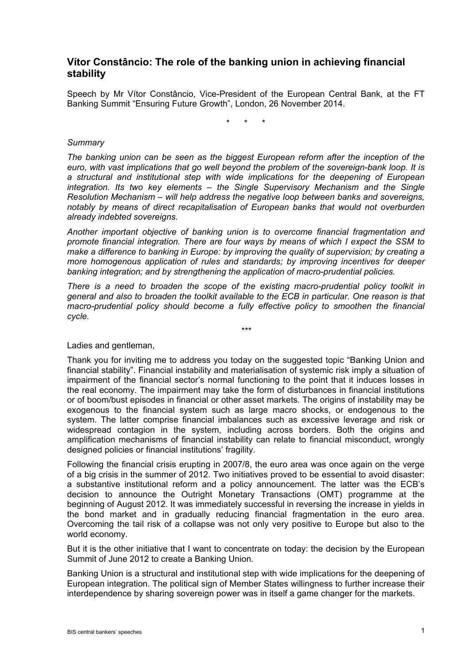# **Vítor Constâncio: The role of the banking union in achieving financial stability**

Speech by Mr Vítor Constâncio, Vice-President of the European Central Bank, at the FT Banking Summit "Ensuring Future Growth", London, 26 November 2014.

\* \* \*

#### *Summary*

*The banking union can be seen as the biggest European reform after the inception of the euro, with vast implications that go well beyond the problem of the sovereign-bank loop. It is a structural and institutional step with wide implications for the deepening of European integration. Its two key elements – the Single Supervisory Mechanism and the Single Resolution Mechanism – will help address the negative loop between banks and sovereigns, notably by means of direct recapitalisation of European banks that would not overburden already indebted sovereigns.*

*Another important objective of banking union is to overcome financial fragmentation and promote financial integration. There are four ways by means of which I expect the SSM to make a difference to banking in Europe: by improving the quality of supervision; by creating a more homogenous application of rules and standards; by improving incentives for deeper banking integration; and by strengthening the application of macro-prudential policies.*

*There is a need to broaden the scope of the existing macro-prudential policy toolkit in general and also to broaden the toolkit available to the ECB in particular. One reason is that macro-prudential policy should become a fully effective policy to smoothen the financial cycle.*

*\*\*\**

Ladies and gentleman,

Thank you for inviting me to address you today on the suggested topic "Banking Union and financial stability". Financial instability and materialisation of systemic risk imply a situation of impairment of the financial sector's normal functioning to the point that it induces losses in the real economy. The impairment may take the form of disturbances in financial institutions or of boom/bust episodes in financial or other asset markets. The origins of instability may be exogenous to the financial system such as large macro shocks, or endogenous to the system. The latter comprise financial imbalances such as excessive leverage and risk or widespread contagion in the system, including across borders. Both the origins and amplification mechanisms of financial instability can relate to financial misconduct, wrongly designed policies or financial institutions' fragility.

Following the financial crisis erupting in 2007/8, the euro area was once again on the verge of a big crisis in the summer of 2012. Two initiatives proved to be essential to avoid disaster: a substantive institutional reform and a policy announcement. The latter was the ECB's decision to announce the Outright Monetary Transactions (OMT) programme at the beginning of August 2012. It was immediately successful in reversing the increase in yields in the bond market and in gradually reducing financial fragmentation in the euro area. Overcoming the tail risk of a collapse was not only very positive to Europe but also to the world economy.

But it is the other initiative that I want to concentrate on today: the decision by the European Summit of June 2012 to create a Banking Union.

Banking Union is a structural and institutional step with wide implications for the deepening of European integration. The political sign of Member States willingness to further increase their interdependence by sharing sovereign power was in itself a game changer for the markets.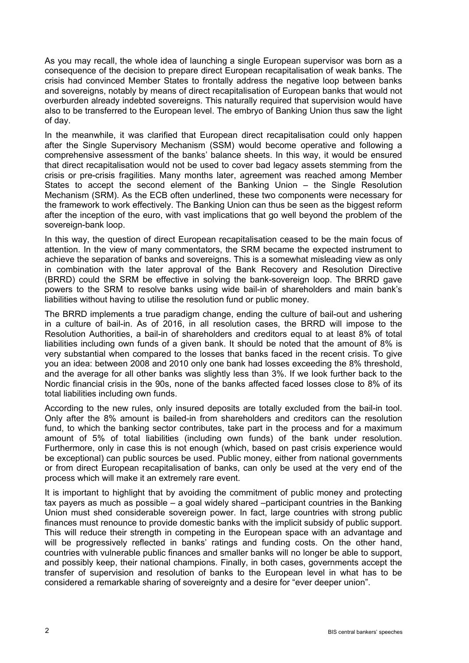As you may recall, the whole idea of launching a single European supervisor was born as a consequence of the decision to prepare direct European recapitalisation of weak banks. The crisis had convinced Member States to frontally address the negative loop between banks and sovereigns, notably by means of direct recapitalisation of European banks that would not overburden already indebted sovereigns. This naturally required that supervision would have also to be transferred to the European level. The embryo of Banking Union thus saw the light of day.

In the meanwhile, it was clarified that European direct recapitalisation could only happen after the Single Supervisory Mechanism (SSM) would become operative and following a comprehensive assessment of the banks' balance sheets. In this way, it would be ensured that direct recapitalisation would not be used to cover bad legacy assets stemming from the crisis or pre-crisis fragilities. Many months later, agreement was reached among Member States to accept the second element of the Banking Union – the Single Resolution Mechanism (SRM). As the ECB often underlined, these two components were necessary for the framework to work effectively. The Banking Union can thus be seen as the biggest reform after the inception of the euro, with vast implications that go well beyond the problem of the sovereign-bank loop.

In this way, the question of direct European recapitalisation ceased to be the main focus of attention. In the view of many commentators, the SRM became the expected instrument to achieve the separation of banks and sovereigns. This is a somewhat misleading view as only in combination with the later approval of the Bank Recovery and Resolution Directive (BRRD) could the SRM be effective in solving the bank-sovereign loop. The BRRD gave powers to the SRM to resolve banks using wide bail-in of shareholders and main bank's liabilities without having to utilise the resolution fund or public money.

The BRRD implements a true paradigm change, ending the culture of bail-out and ushering in a culture of bail-in. As of 2016, in all resolution cases, the BRRD will impose to the Resolution Authorities, a bail-in of shareholders and creditors equal to at least 8% of total liabilities including own funds of a given bank. It should be noted that the amount of 8% is very substantial when compared to the losses that banks faced in the recent crisis. To give you an idea: between 2008 and 2010 only one bank had losses exceeding the 8% threshold, and the average for all other banks was slightly less than 3%. If we look further back to the Nordic financial crisis in the 90s, none of the banks affected faced losses close to 8% of its total liabilities including own funds.

According to the new rules, only insured deposits are totally excluded from the bail-in tool. Only after the 8% amount is bailed-in from shareholders and creditors can the resolution fund, to which the banking sector contributes, take part in the process and for a maximum amount of 5% of total liabilities (including own funds) of the bank under resolution. Furthermore, only in case this is not enough (which, based on past crisis experience would be exceptional) can public sources be used. Public money, either from national governments or from direct European recapitalisation of banks, can only be used at the very end of the process which will make it an extremely rare event.

It is important to highlight that by avoiding the commitment of public money and protecting tax payers as much as possible – a goal widely shared –participant countries in the Banking Union must shed considerable sovereign power. In fact, large countries with strong public finances must renounce to provide domestic banks with the implicit subsidy of public support. This will reduce their strength in competing in the European space with an advantage and will be progressively reflected in banks' ratings and funding costs. On the other hand, countries with vulnerable public finances and smaller banks will no longer be able to support, and possibly keep, their national champions. Finally, in both cases, governments accept the transfer of supervision and resolution of banks to the European level in what has to be considered a remarkable sharing of sovereignty and a desire for "ever deeper union".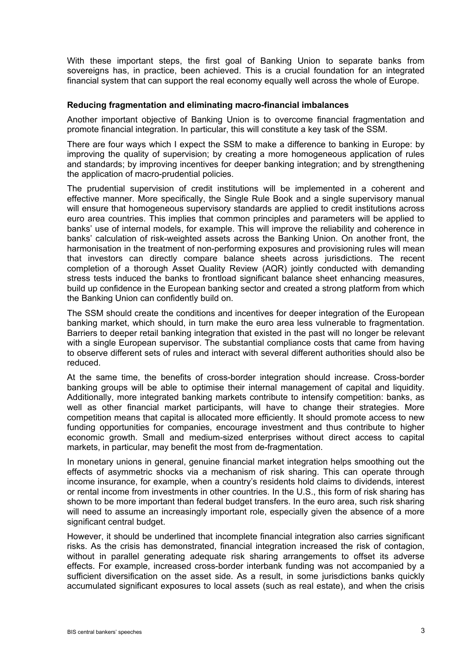With these important steps, the first goal of Banking Union to separate banks from sovereigns has, in practice, been achieved. This is a crucial foundation for an integrated financial system that can support the real economy equally well across the whole of Europe.

#### **Reducing fragmentation and eliminating macro-financial imbalances**

Another important objective of Banking Union is to overcome financial fragmentation and promote financial integration. In particular, this will constitute a key task of the SSM.

There are four ways which I expect the SSM to make a difference to banking in Europe: by improving the quality of supervision; by creating a more homogeneous application of rules and standards; by improving incentives for deeper banking integration; and by strengthening the application of macro-prudential policies.

The prudential supervision of credit institutions will be implemented in a coherent and effective manner. More specifically, the Single Rule Book and a single supervisory manual will ensure that homogeneous supervisory standards are applied to credit institutions across euro area countries. This implies that common principles and parameters will be applied to banks' use of internal models, for example. This will improve the reliability and coherence in banks' calculation of risk-weighted assets across the Banking Union. On another front, the harmonisation in the treatment of non-performing exposures and provisioning rules will mean that investors can directly compare balance sheets across jurisdictions. The recent completion of a thorough Asset Quality Review (AQR) jointly conducted with demanding stress tests induced the banks to frontload significant balance sheet enhancing measures, build up confidence in the European banking sector and created a strong platform from which the Banking Union can confidently build on.

The SSM should create the conditions and incentives for deeper integration of the European banking market, which should, in turn make the euro area less vulnerable to fragmentation. Barriers to deeper retail banking integration that existed in the past will no longer be relevant with a single European supervisor. The substantial compliance costs that came from having to observe different sets of rules and interact with several different authorities should also be reduced.

At the same time, the benefits of cross-border integration should increase. Cross-border banking groups will be able to optimise their internal management of capital and liquidity. Additionally, more integrated banking markets contribute to intensify competition: banks, as well as other financial market participants, will have to change their strategies. More competition means that capital is allocated more efficiently. It should promote access to new funding opportunities for companies, encourage investment and thus contribute to higher economic growth. Small and medium-sized enterprises without direct access to capital markets, in particular, may benefit the most from de-fragmentation.

In monetary unions in general, genuine financial market integration helps smoothing out the effects of asymmetric shocks via a mechanism of risk sharing. This can operate through income insurance, for example, when a country's residents hold claims to dividends, interest or rental income from investments in other countries. In the U.S., this form of risk sharing has shown to be more important than federal budget transfers. In the euro area, such risk sharing will need to assume an increasingly important role, especially given the absence of a more significant central budget.

However, it should be underlined that incomplete financial integration also carries significant risks. As the crisis has demonstrated, financial integration increased the risk of contagion, without in parallel generating adequate risk sharing arrangements to offset its adverse effects. For example, increased cross-border interbank funding was not accompanied by a sufficient diversification on the asset side. As a result, in some jurisdictions banks quickly accumulated significant exposures to local assets (such as real estate), and when the crisis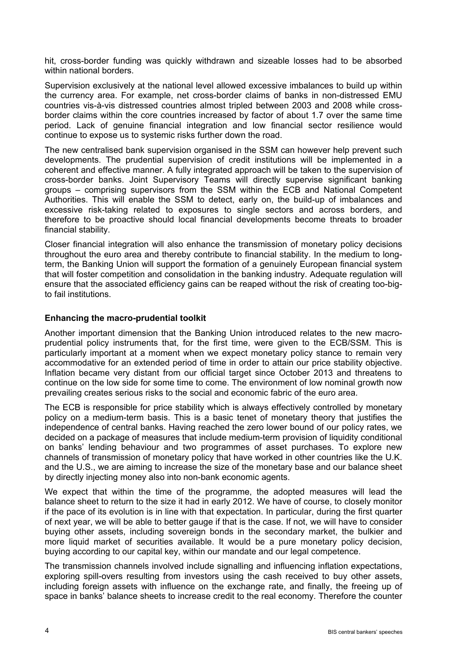hit, cross-border funding was quickly withdrawn and sizeable losses had to be absorbed within national borders.

Supervision exclusively at the national level allowed excessive imbalances to build up within the currency area. For example, net cross-border claims of banks in non-distressed EMU countries vis-à-vis distressed countries almost tripled between 2003 and 2008 while crossborder claims within the core countries increased by factor of about 1.7 over the same time period. Lack of genuine financial integration and low financial sector resilience would continue to expose us to systemic risks further down the road.

The new centralised bank supervision organised in the SSM can however help prevent such developments. The prudential supervision of credit institutions will be implemented in a coherent and effective manner. A fully integrated approach will be taken to the supervision of cross-border banks. Joint Supervisory Teams will directly supervise significant banking groups – comprising supervisors from the SSM within the ECB and National Competent Authorities. This will enable the SSM to detect, early on, the build-up of imbalances and excessive risk-taking related to exposures to single sectors and across borders, and therefore to be proactive should local financial developments become threats to broader financial stability.

Closer financial integration will also enhance the transmission of monetary policy decisions throughout the euro area and thereby contribute to financial stability. In the medium to longterm, the Banking Union will support the formation of a genuinely European financial system that will foster competition and consolidation in the banking industry. Adequate regulation will ensure that the associated efficiency gains can be reaped without the risk of creating too-bigto fail institutions.

### **Enhancing the macro-prudential toolkit**

Another important dimension that the Banking Union introduced relates to the new macroprudential policy instruments that, for the first time, were given to the ECB/SSM. This is particularly important at a moment when we expect monetary policy stance to remain very accommodative for an extended period of time in order to attain our price stability objective. Inflation became very distant from our official target since October 2013 and threatens to continue on the low side for some time to come. The environment of low nominal growth now prevailing creates serious risks to the social and economic fabric of the euro area.

The ECB is responsible for price stability which is always effectively controlled by monetary policy on a medium-term basis. This is a basic tenet of monetary theory that justifies the independence of central banks. Having reached the zero lower bound of our policy rates, we decided on a package of measures that include medium-term provision of liquidity conditional on banks' lending behaviour and two programmes of asset purchases. To explore new channels of transmission of monetary policy that have worked in other countries like the U.K. and the U.S., we are aiming to increase the size of the monetary base and our balance sheet by directly injecting money also into non-bank economic agents.

We expect that within the time of the programme, the adopted measures will lead the balance sheet to return to the size it had in early 2012. We have of course, to closely monitor if the pace of its evolution is in line with that expectation. In particular, during the first quarter of next year, we will be able to better gauge if that is the case. If not, we will have to consider buying other assets, including sovereign bonds in the secondary market, the bulkier and more liquid market of securities available. It would be a pure monetary policy decision, buying according to our capital key, within our mandate and our legal competence.

The transmission channels involved include signalling and influencing inflation expectations, exploring spill-overs resulting from investors using the cash received to buy other assets, including foreign assets with influence on the exchange rate, and finally, the freeing up of space in banks' balance sheets to increase credit to the real economy. Therefore the counter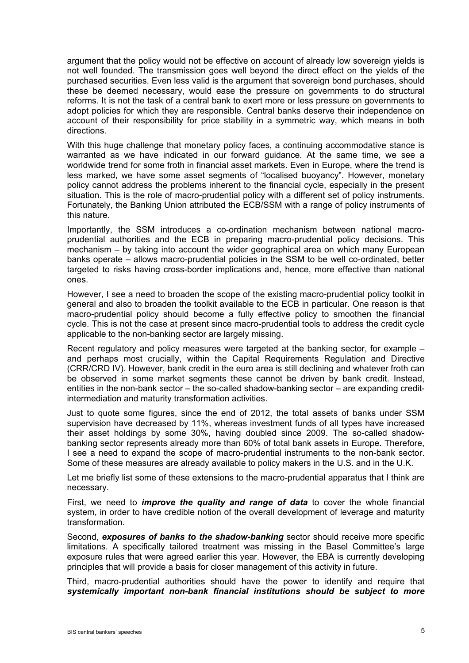argument that the policy would not be effective on account of already low sovereign yields is not well founded. The transmission goes well beyond the direct effect on the yields of the purchased securities. Even less valid is the argument that sovereign bond purchases, should these be deemed necessary, would ease the pressure on governments to do structural reforms. It is not the task of a central bank to exert more or less pressure on governments to adopt policies for which they are responsible. Central banks deserve their independence on account of their responsibility for price stability in a symmetric way, which means in both directions.

With this huge challenge that monetary policy faces, a continuing accommodative stance is warranted as we have indicated in our forward guidance. At the same time, we see a worldwide trend for some froth in financial asset markets. Even in Europe, where the trend is less marked, we have some asset segments of "localised buoyancy". However, monetary policy cannot address the problems inherent to the financial cycle, especially in the present situation. This is the role of macro-prudential policy with a different set of policy instruments. Fortunately, the Banking Union attributed the ECB/SSM with a range of policy instruments of this nature.

Importantly, the SSM introduces a co-ordination mechanism between national macroprudential authorities and the ECB in preparing macro-prudential policy decisions. This mechanism – by taking into account the wider geographical area on which many European banks operate – allows macro-prudential policies in the SSM to be well co-ordinated, better targeted to risks having cross-border implications and, hence, more effective than national ones.

However, I see a need to broaden the scope of the existing macro-prudential policy toolkit in general and also to broaden the toolkit available to the ECB in particular. One reason is that macro-prudential policy should become a fully effective policy to smoothen the financial cycle. This is not the case at present since macro-prudential tools to address the credit cycle applicable to the non-banking sector are largely missing.

Recent regulatory and policy measures were targeted at the banking sector, for example – and perhaps most crucially, within the Capital Requirements Regulation and Directive (CRR/CRD IV). However, bank credit in the euro area is still declining and whatever froth can be observed in some market segments these cannot be driven by bank credit. Instead, entities in the non-bank sector – the so-called shadow-banking sector – are expanding creditintermediation and maturity transformation activities.

Just to quote some figures, since the end of 2012, the total assets of banks under SSM supervision have decreased by 11%, whereas investment funds of all types have increased their asset holdings by some 30%, having doubled since 2009. The so-called shadowbanking sector represents already more than 60% of total bank assets in Europe. Therefore, I see a need to expand the scope of macro-prudential instruments to the non-bank sector. Some of these measures are already available to policy makers in the U.S. and in the U.K.

Let me briefly list some of these extensions to the macro-prudential apparatus that I think are necessary.

First, we need to *improve the quality and range of data* to cover the whole financial system, in order to have credible notion of the overall development of leverage and maturity transformation.

Second, *exposures of banks to the shadow-banking* sector should receive more specific limitations. A specifically tailored treatment was missing in the Basel Committee's large exposure rules that were agreed earlier this year. However, the EBA is currently developing principles that will provide a basis for closer management of this activity in future.

Third, macro-prudential authorities should have the power to identify and require that *systemically important non-bank financial institutions should be subject to more*